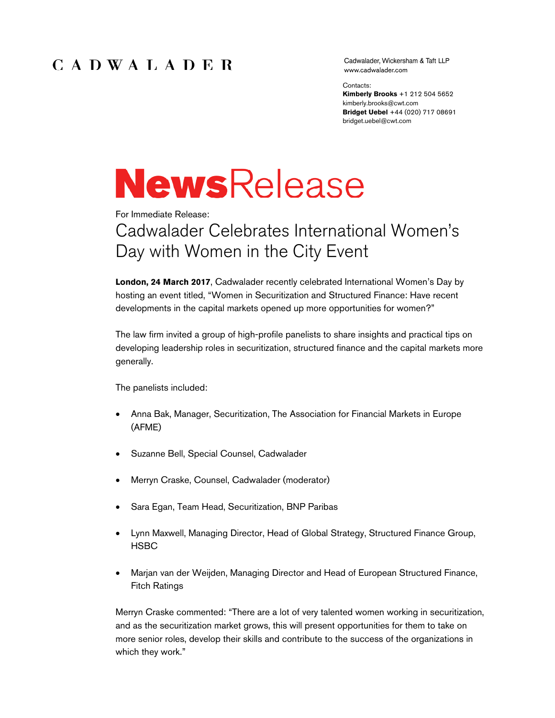## CADWALADER

Cadwalader, Wickersham & Taft LLP www.cadwalader.com

Contacts:

**Kimberly Brooks** +1 212 504 5652 kimberly.brooks@cwt.com **Bridget Uebel** +44 (020) 717 08691 bridget.uebel@cwt.com

# **NewsRelease**

For Immediate Release:

# Cadwalader Celebrates International Women's Day with Women in the City Event

**London, 24 March 2017**, Cadwalader recently celebrated International Women's Day by hosting an event titled, "Women in Securitization and Structured Finance: Have recent developments in the capital markets opened up more opportunities for women?"

The law firm invited a group of high-profile panelists to share insights and practical tips on developing leadership roles in securitization, structured finance and the capital markets more generally.

The panelists included:

- Anna Bak, Manager, Securitization, The Association for Financial Markets in Europe (AFME)
- Suzanne Bell, Special Counsel, Cadwalader
- Merryn Craske, Counsel, Cadwalader (moderator)
- Sara Egan, Team Head, Securitization, BNP Paribas
- Lynn Maxwell, Managing Director, Head of Global Strategy, Structured Finance Group, **HSBC**
- Marjan van der Weijden, Managing Director and Head of European Structured Finance, Fitch Ratings

Merryn Craske commented: "There are a lot of very talented women working in securitization, and as the securitization market grows, this will present opportunities for them to take on more senior roles, develop their skills and contribute to the success of the organizations in which they work."